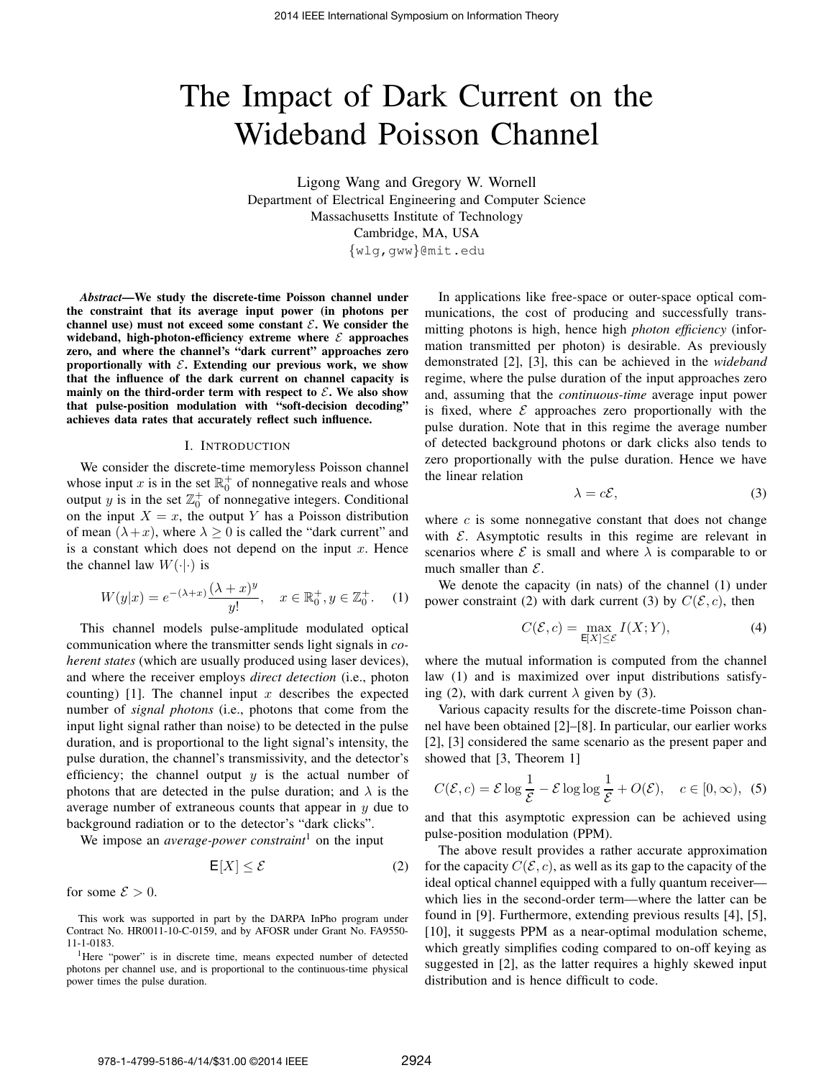# The Impact of Dark Current on the Wideband Poisson Channel

Ligong Wang and Gregory W. Wornell Department of Electrical Engineering and Computer Science Massachusetts Institute of Technology Cambridge, MA, USA {wlg,gww}@mit.edu

*Abstract*—We study the discrete-time Poisson channel under the constraint that its average input power (in photons per channel use) must not exceed some constant  $\mathcal{E}$ . We consider the wideband, high-photon-efficiency extreme where  $\mathcal E$  approaches zero, and where the channel's "dark current" approaches zero proportionally with  $\mathcal{E}$ . Extending our previous work, we show that the influence of the dark current on channel capacity is mainly on the third-order term with respect to  $\mathcal{E}$ . We also show that pulse-position modulation with "soft-decision decoding" achieves data rates that accurately reflect such influence.

#### I. INTRODUCTION

We consider the discrete-time memoryless Poisson channel whose input x is in the set  $\mathbb{R}^+_0$  of nonnegative reals and whose output y is in the set  $\mathbb{Z}_0^+$  of nonnegative integers. Conditional on the input  $X = x$ , the output Y has a Poisson distribution of mean  $(\lambda + x)$ , where  $\lambda \ge 0$  is called the "dark current" and is a constant which does not depend on the input x. Hence the channel law  $W(\cdot|\cdot)$  is

$$
W(y|x) = e^{-(\lambda+x)} \frac{(\lambda+x)^y}{y!}, \quad x \in \mathbb{R}_0^+, y \in \mathbb{Z}_0^+. \quad (1)
$$

This channel models pulse-amplitude modulated optical communication where the transmitter sends light signals in *coherent states* (which are usually produced using laser devices), and where the receiver employs *direct detection* (i.e., photon counting) [1]. The channel input  $x$  describes the expected number of *signal photons* (i.e., photons that come from the input light signal rather than noise) to be detected in the pulse duration, and is proportional to the light signal's intensity, the pulse duration, the channel's transmissivity, and the detector's efficiency; the channel output  $y$  is the actual number of photons that are detected in the pulse duration; and  $\lambda$  is the average number of extraneous counts that appear in  $y$  due to background radiation or to the detector's "dark clicks".

We impose an *average-power constraint*<sup>1</sup> on the input

$$
\mathsf{E}[X] \le \mathcal{E} \tag{2}
$$

for some  $\mathcal{E} > 0$ .

This work was supported in part by the DARPA InPho program under Contract No. HR0011-10-C-0159, and by AFOSR under Grant No. FA9550- 11-1-0183.

<sup>1</sup>Here "power" is in discrete time, means expected number of detected photons per channel use, and is proportional to the continuous-time physical power times the pulse duration.

In applications like free-space or outer-space optical communications, the cost of producing and successfully transmitting photons is high, hence high *photon efficiency* (information transmitted per photon) is desirable. As previously demonstrated [2], [3], this can be achieved in the *wideband* regime, where the pulse duration of the input approaches zero and, assuming that the *continuous-time* average input power is fixed, where  $\mathcal E$  approaches zero proportionally with the pulse duration. Note that in this regime the average number of detected background photons or dark clicks also tends to zero proportionally with the pulse duration. Hence we have the linear relation

$$
\lambda = c\mathcal{E},\tag{3}
$$

where  $c$  is some nonnegative constant that does not change with  $\mathcal E$ . Asymptotic results in this regime are relevant in scenarios where  $\mathcal E$  is small and where  $\lambda$  is comparable to or much smaller than  $\mathcal{E}$ .

We denote the capacity (in nats) of the channel (1) under power constraint (2) with dark current (3) by  $C(\mathcal{E}, c)$ , then

$$
C(\mathcal{E}, c) = \max_{\mathsf{E}[X] \le \mathcal{E}} I(X; Y), \tag{4}
$$

where the mutual information is computed from the channel law (1) and is maximized over input distributions satisfying (2), with dark current  $\lambda$  given by (3).

Various capacity results for the discrete-time Poisson channel have been obtained [2]–[8]. In particular, our earlier works [2], [3] considered the same scenario as the present paper and showed that [3, Theorem 1]

$$
C(\mathcal{E}, c) = \mathcal{E} \log \frac{1}{\mathcal{E}} - \mathcal{E} \log \log \frac{1}{\mathcal{E}} + O(\mathcal{E}), \quad c \in [0, \infty), \tag{5}
$$

and that this asymptotic expression can be achieved using pulse-position modulation (PPM).

The above result provides a rather accurate approximation for the capacity  $C(\mathcal{E}, c)$ , as well as its gap to the capacity of the ideal optical channel equipped with a fully quantum receiver which lies in the second-order term—where the latter can be found in [9]. Furthermore, extending previous results [4], [5], [10], it suggests PPM as a near-optimal modulation scheme, which greatly simplifies coding compared to on-off keying as suggested in [2], as the latter requires a highly skewed input distribution and is hence difficult to code.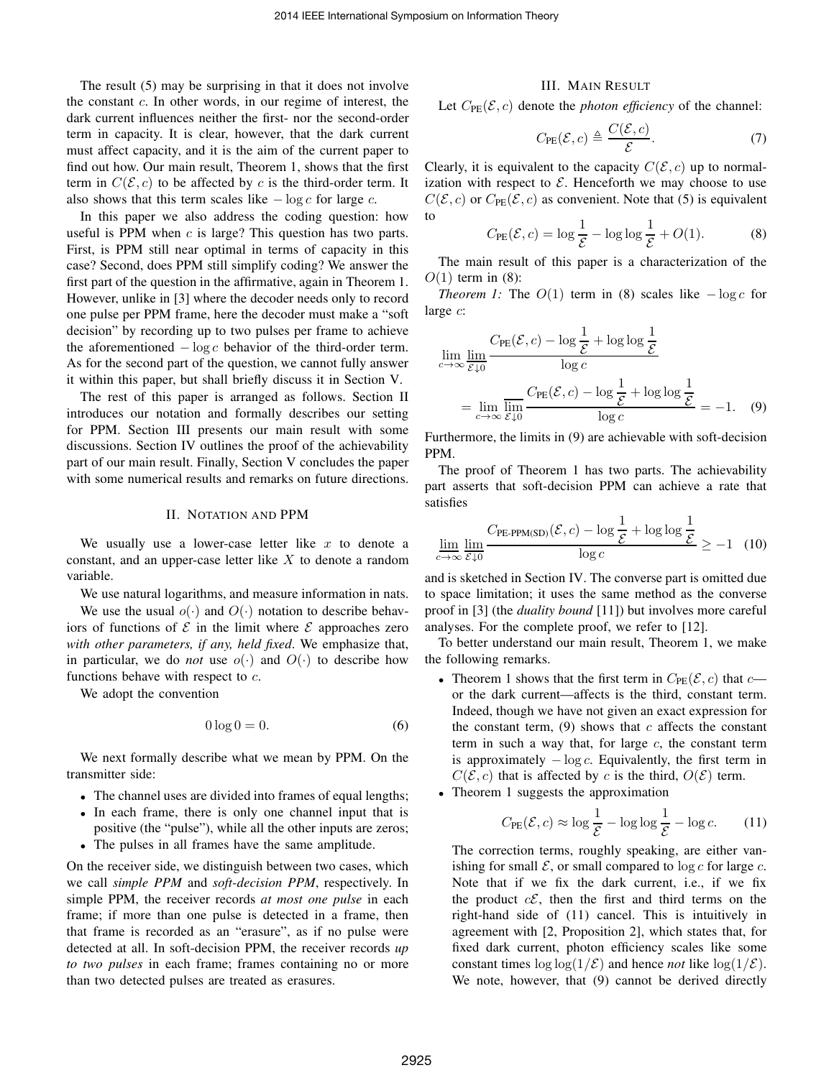The result (5) may be surprising in that it does not involve the constant  $c$ . In other words, in our regime of interest, the dark current influences neither the first- nor the second-order term in capacity. It is clear, however, that the dark current must affect capacity, and it is the aim of the current paper to find out how. Our main result, Theorem 1, shows that the first term in  $C(\mathcal{E}, c)$  to be affected by c is the third-order term. It also shows that this term scales like  $-\log c$  for large c.

In this paper we also address the coding question: how useful is PPM when  $c$  is large? This question has two parts. First, is PPM still near optimal in terms of capacity in this case? Second, does PPM still simplify coding? We answer the first part of the question in the affirmative, again in Theorem 1. However, unlike in [3] where the decoder needs only to record one pulse per PPM frame, here the decoder must make a "soft decision" by recording up to two pulses per frame to achieve the aforementioned  $-\log c$  behavior of the third-order term. As for the second part of the question, we cannot fully answer it within this paper, but shall briefly discuss it in Section V.

The rest of this paper is arranged as follows. Section II introduces our notation and formally describes our setting for PPM. Section III presents our main result with some discussions. Section IV outlines the proof of the achievability part of our main result. Finally, Section V concludes the paper with some numerical results and remarks on future directions.

## II. NOTATION AND PPM

We usually use a lower-case letter like  $x$  to denote a constant, and an upper-case letter like  $X$  to denote a random variable.

We use natural logarithms, and measure information in nats.

We use the usual  $o(\cdot)$  and  $O(\cdot)$  notation to describe behaviors of functions of  $\mathcal E$  in the limit where  $\mathcal E$  approaches zero *with other parameters, if any, held fixed*. We emphasize that, in particular, we do *not* use  $o(\cdot)$  and  $O(\cdot)$  to describe how functions behave with respect to  $c$ .

We adopt the convention

$$
0\log 0 = 0.\t\t(6)
$$

We next formally describe what we mean by PPM. On the transmitter side:

- The channel uses are divided into frames of equal lengths;
- In each frame, there is only one channel input that is positive (the "pulse"), while all the other inputs are zeros;
- The pulses in all frames have the same amplitude.

On the receiver side, we distinguish between two cases, which we call *simple PPM* and *soft-decision PPM*, respectively. In simple PPM, the receiver records *at most one pulse* in each frame; if more than one pulse is detected in a frame, then that frame is recorded as an "erasure", as if no pulse were detected at all. In soft-decision PPM, the receiver records *up to two pulses* in each frame; frames containing no or more than two detected pulses are treated as erasures.

## III. MAIN RESULT

Let  $C_{PE}(\mathcal{E}, c)$  denote the *photon efficiency* of the channel:

$$
C_{\text{PE}}(\mathcal{E}, c) \triangleq \frac{C(\mathcal{E}, c)}{\mathcal{E}}.
$$
 (7)

Clearly, it is equivalent to the capacity  $C(\mathcal{E}, c)$  up to normalization with respect to  $\mathcal E$ . Henceforth we may choose to use  $C(\mathcal{E}, c)$  or  $C_{PE}(\mathcal{E}, c)$  as convenient. Note that (5) is equivalent to

$$
C_{\text{PE}}(\mathcal{E}, c) = \log \frac{1}{\mathcal{E}} - \log \log \frac{1}{\mathcal{E}} + O(1). \tag{8}
$$

The main result of this paper is a characterization of the  $O(1)$  term in (8):

*Theorem 1:* The  $O(1)$  term in (8) scales like  $-\log c$  for large c:

$$
\lim_{c \to \infty} \frac{C_{PE}(\mathcal{E}, c) - \log \frac{1}{\mathcal{E}} + \log \log \frac{1}{\mathcal{E}}}{\log c}
$$
\n
$$
= \lim_{c \to \infty} \frac{\lim_{\mathcal{E} \downarrow 0} \frac{C_{PE}(\mathcal{E}, c) - \log \frac{1}{\mathcal{E}} + \log \log \frac{1}{\mathcal{E}}}{\log c} = -1. \quad (9)
$$

Furthermore, the limits in (9) are achievable with soft-decision PPM.

The proof of Theorem 1 has two parts. The achievability part asserts that soft-decision PPM can achieve a rate that satisfies

$$
\lim_{c \to \infty} \lim_{\mathcal{E} \downarrow 0} \frac{C_{\text{PE-PPM(SD)}}(\mathcal{E}, c) - \log \frac{1}{\mathcal{E}} + \log \log \frac{1}{\mathcal{E}}}{\log c} \ge -1 \quad (10)
$$

and is sketched in Section IV. The converse part is omitted due to space limitation; it uses the same method as the converse proof in [3] (the *duality bound* [11]) but involves more careful analyses. For the complete proof, we refer to [12].

To better understand our main result, Theorem 1, we make the following remarks.

- Theorem 1 shows that the first term in  $C_{PE}(\mathcal{E}, c)$  that  $c$  or the dark current—affects is the third, constant term. Indeed, though we have not given an exact expression for the constant term,  $(9)$  shows that c affects the constant term in such a way that, for large  $c$ , the constant term is approximately  $-\log c$ . Equivalently, the first term in  $C(\mathcal{E}, c)$  that is affected by c is the third,  $O(\mathcal{E})$  term.
- Theorem 1 suggests the approximation

$$
C_{\text{PE}}(\mathcal{E}, c) \approx \log \frac{1}{\mathcal{E}} - \log \log \frac{1}{\mathcal{E}} - \log c. \tag{11}
$$

The correction terms, roughly speaking, are either vanishing for small  $\mathcal{E}$ , or small compared to  $\log c$  for large c. Note that if we fix the dark current, i.e., if we fix the product  $c\mathcal{E}$ , then the first and third terms on the right-hand side of (11) cancel. This is intuitively in agreement with [2, Proposition 2], which states that, for fixed dark current, photon efficiency scales like some constant times  $\log \log(1/\mathcal{E})$  and hence *not* like  $\log(1/\mathcal{E})$ . We note, however, that (9) cannot be derived directly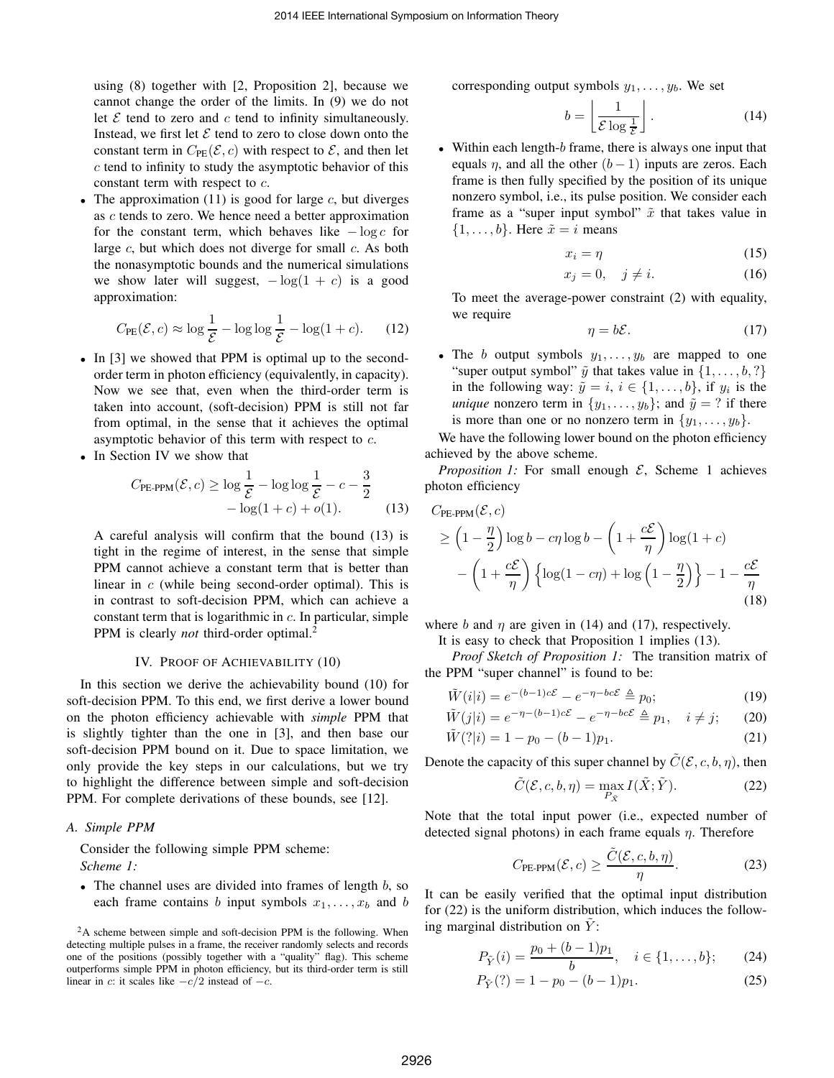using (8) together with [2, Proposition 2], because we cannot change the order of the limits. In (9) we do not let  $\mathcal E$  tend to zero and  $c$  tend to infinity simultaneously. Instead, we first let  $E$  tend to zero to close down onto the constant term in  $C_{PE}(\mathcal{E}, c)$  with respect to  $\mathcal{E}$ , and then let  $c$  tend to infinity to study the asymptotic behavior of this constant term with respect to  $c$ .

• The approximation  $(11)$  is good for large c, but diverges as c tends to zero. We hence need a better approximation for the constant term, which behaves like  $-\log c$  for large  $c$ , but which does not diverge for small  $c$ . As both the nonasymptotic bounds and the numerical simulations we show later will suggest,  $-\log(1 + c)$  is a good approximation:

$$
C_{\rm PE}(\mathcal{E}, c) \approx \log \frac{1}{\mathcal{E}} - \log \log \frac{1}{\mathcal{E}} - \log(1 + c). \tag{12}
$$

- In [3] we showed that PPM is optimal up to the secondorder term in photon efficiency (equivalently, in capacity). Now we see that, even when the third-order term is taken into account, (soft-decision) PPM is still not far from optimal, in the sense that it achieves the optimal asymptotic behavior of this term with respect to c.
- In Section IV we show that

$$
C_{\text{PE-PPM}}(\mathcal{E}, c) \ge \log \frac{1}{\mathcal{E}} - \log \log \frac{1}{\mathcal{E}} - c - \frac{3}{2} - \log(1 + c) + o(1). \tag{13}
$$

A careful analysis will confirm that the bound (13) is tight in the regime of interest, in the sense that simple PPM cannot achieve a constant term that is better than linear in  $c$  (while being second-order optimal). This is in contrast to soft-decision PPM, which can achieve a constant term that is logarithmic in  $c$ . In particular, simple PPM is clearly *not* third-order optimal.<sup>2</sup>

#### IV. PROOF OF ACHIEVABILITY (10)

In this section we derive the achievability bound (10) for soft-decision PPM. To this end, we first derive a lower bound on the photon efficiency achievable with *simple* PPM that is slightly tighter than the one in [3], and then base our soft-decision PPM bound on it. Due to space limitation, we only provide the key steps in our calculations, but we try to highlight the difference between simple and soft-decision PPM. For complete derivations of these bounds, see [12].

# *A. Simple PPM*

Consider the following simple PPM scheme:

*Scheme 1:*

• The channel uses are divided into frames of length  $b$ , so each frame contains b input symbols  $x_1, \ldots, x_b$  and b corresponding output symbols  $y_1, \ldots, y_b$ . We set

$$
b = \left\lfloor \frac{1}{\mathcal{E} \log \frac{1}{\mathcal{E}}} \right\rfloor. \tag{14}
$$

• Within each length- $b$  frame, there is always one input that equals  $\eta$ , and all the other  $(b-1)$  inputs are zeros. Each frame is then fully specified by the position of its unique nonzero symbol, i.e., its pulse position. We consider each frame as a "super input symbol"  $\tilde{x}$  that takes value in  $\{1,\ldots,b\}$ . Here  $\tilde{x} = i$  means

$$
x_i = \eta \tag{15}
$$

$$
x_j = 0, \quad j \neq i. \tag{16}
$$

To meet the average-power constraint (2) with equality, we require

$$
\eta = b\mathcal{E}.\tag{17}
$$

• The b output symbols  $y_1, \ldots, y_b$  are mapped to one "super output symbol"  $\tilde{y}$  that takes value in  $\{1, \ldots, b, ?\}$ in the following way:  $\tilde{y} = i$ ,  $i \in \{1, ..., b\}$ , if  $y_i$  is the *unique* nonzero term in  $\{y_1, \ldots, y_b\}$ ; and  $\tilde{y} = ?$  if there is more than one or no nonzero term in  $\{y_1, \ldots, y_b\}.$ 

We have the following lower bound on the photon efficiency achieved by the above scheme.

*Proposition 1:* For small enough  $\mathcal{E}$ , Scheme 1 achieves photon efficiency

$$
C_{\text{PE-PPM}}(\mathcal{E}, c)
$$
  
\n
$$
\geq \left(1 - \frac{\eta}{2}\right) \log b - c\eta \log b - \left(1 + \frac{c\mathcal{E}}{\eta}\right) \log(1 + c)
$$
  
\n
$$
- \left(1 + \frac{c\mathcal{E}}{\eta}\right) \left\{\log(1 - c\eta) + \log\left(1 - \frac{\eta}{2}\right)\right\} - 1 - \frac{c\mathcal{E}}{\eta}
$$
\n(18)

where b and  $\eta$  are given in (14) and (17), respectively.

It is easy to check that Proposition 1 implies (13).

*Proof Sketch of Proposition 1:* The transition matrix of the PPM "super channel" is found to be:

$$
\tilde{W}(i|i) = e^{-(b-1)c\mathcal{E}} - e^{-\eta - bc\mathcal{E}} \triangleq p_0; \tag{19}
$$

$$
\tilde{W}(j|i) = e^{-\eta - (b-1)c\mathcal{E}} - e^{-\eta - bc\mathcal{E}} \triangleq p_1, \quad i \neq j; \qquad (20)
$$

$$
\tilde{W}(?|i) = 1 - p_0 - (b-1)p_1.
$$
\n(21)

Denote the capacity of this super channel by  $\tilde{C}(\mathcal{E}, c, b, \eta)$ , then

$$
\tilde{C}(\mathcal{E}, c, b, \eta) = \max_{P_{\tilde{X}}} I(\tilde{X}; \tilde{Y}).
$$
\n(22)

Note that the total input power (i.e., expected number of detected signal photons) in each frame equals  $\eta$ . Therefore

$$
C_{\text{PE-PPM}}(\mathcal{E}, c) \ge \frac{\tilde{C}(\mathcal{E}, c, b, \eta)}{\eta}.
$$
 (23)

It can be easily verified that the optimal input distribution for (22) is the uniform distribution, which induces the following marginal distribution on  $Y$ :

$$
P_{\tilde{Y}}(i) = \frac{p_0 + (b-1)p_1}{b}, \quad i \in \{1, \dots, b\};
$$
 (24)

$$
P_{\tilde{Y}}(?) = 1 - p_0 - (b - 1)p_1.
$$
 (25)

<sup>&</sup>lt;sup>2</sup>A scheme between simple and soft-decision PPM is the following. When detecting multiple pulses in a frame, the receiver randomly selects and records one of the positions (possibly together with a "quality" flag). This scheme outperforms simple PPM in photon efficiency, but its third-order term is still linear in c: it scales like  $-c/2$  instead of  $-c$ .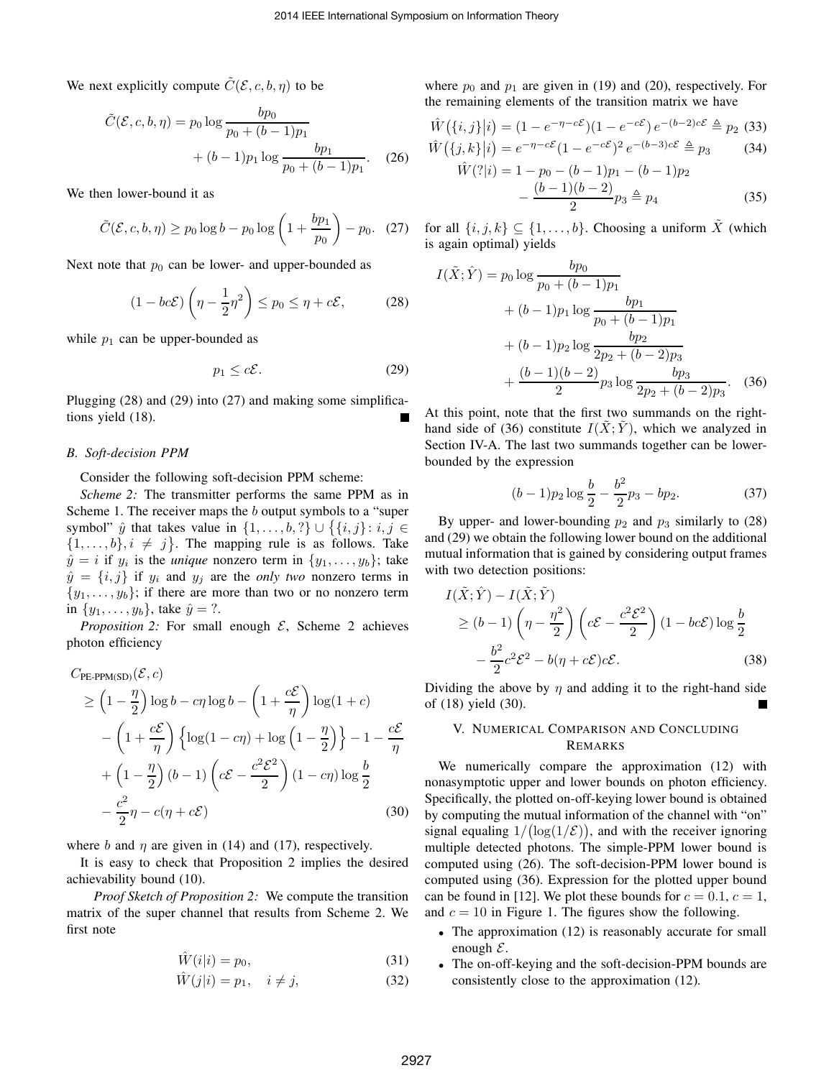We next explicitly compute  $\tilde{C}(\mathcal{E}, c, b, \eta)$  to be

$$
\tilde{C}(\mathcal{E}, c, b, \eta) = p_0 \log \frac{bp_0}{p_0 + (b - 1)p_1} + (b - 1)p_1 \log \frac{bp_1}{p_0 + (b - 1)p_1}.
$$
 (26)

We then lower-bound it as

$$
\tilde{C}(\mathcal{E}, c, b, \eta) \ge p_0 \log b - p_0 \log \left( 1 + \frac{bp_1}{p_0} \right) - p_0. \quad (27)
$$

Next note that  $p_0$  can be lower- and upper-bounded as

$$
(1 - bc\mathcal{E})\left(\eta - \frac{1}{2}\eta^2\right) \le p_0 \le \eta + c\mathcal{E},\tag{28}
$$

while  $p_1$  can be upper-bounded as

$$
p_1 \le c\mathcal{E}.\tag{29}
$$

Plugging (28) and (29) into (27) and making some simplifications yield (18).

#### *B. Soft-decision PPM*

Consider the following soft-decision PPM scheme:

*Scheme 2:* The transmitter performs the same PPM as in Scheme 1. The receiver maps the b output symbols to a "super symbol"  $\hat{y}$  that takes value in  $\{1, \ldots, b, ?\} \cup \{\{i, j\} : i, j \in \}$  $\{1,\ldots,b\}, i \neq j\}$ . The mapping rule is as follows. Take  $\hat{y} = i$  if  $y_i$  is the *unique* nonzero term in  $\{y_1, \ldots, y_b\}$ ; take  $\hat{y} = \{i, j\}$  if  $y_i$  and  $y_j$  are the *only two* nonzero terms in  $\{y_1, \ldots, y_b\}$ ; if there are more than two or no nonzero term in  $\{y_1, \ldots, y_b\}$ , take  $\hat{y} = ?$ .

*Proposition 2:* For small enough  $\mathcal{E}$ , Scheme 2 achieves photon efficiency

$$
C_{\text{PE-PPM(SD)}}(\mathcal{E}, c)
$$
  
\n
$$
\geq \left(1 - \frac{\eta}{2}\right) \log b - c\eta \log b - \left(1 + \frac{c\mathcal{E}}{\eta}\right) \log(1 + c)
$$
  
\n
$$
- \left(1 + \frac{c\mathcal{E}}{\eta}\right) \left\{\log(1 - c\eta) + \log\left(1 - \frac{\eta}{2}\right)\right\} - 1 - \frac{c\mathcal{E}}{\eta}
$$
  
\n
$$
+ \left(1 - \frac{\eta}{2}\right)(b - 1)\left(c\mathcal{E} - \frac{c^2\mathcal{E}^2}{2}\right)(1 - c\eta) \log\frac{b}{2}
$$
  
\n
$$
- \frac{c^2}{2}\eta - c(\eta + c\mathcal{E})
$$
\n(30)

where b and  $\eta$  are given in (14) and (17), respectively.

It is easy to check that Proposition 2 implies the desired achievability bound (10).

*Proof Sketch of Proposition 2:* We compute the transition matrix of the super channel that results from Scheme 2. We first note

$$
\hat{W}(i|i) = p_0,\tag{31}
$$

$$
\hat{W}(j|i) = p_1, \quad i \neq j,
$$
\n(32)

where  $p_0$  and  $p_1$  are given in (19) and (20), respectively. For the remaining elements of the transition matrix we have

$$
\hat{W}(\{i,j\}|i) = (1 - e^{-\eta - c\mathcal{E}})(1 - e^{-c\mathcal{E}}) e^{-(b-2)c\mathcal{E}} \triangleq p_2 \tag{33}
$$
\n
$$
\hat{W}(\{j,k\}|i) = e^{-\eta - c\mathcal{E}}(1 - e^{-c\mathcal{E}})^2 e^{-(b-3)c\mathcal{E}} \triangleq p_3 \tag{34}
$$
\n
$$
\hat{W}(?|i) = 1 - p_0 - (b-1)p_1 - (b-1)p_2
$$
\n
$$
-\frac{(b-1)(b-2)}{2}p_3 \triangleq p_4 \tag{35}
$$

for all  $\{i, j, k\} \subseteq \{1, \ldots, b\}$ . Choosing a uniform  $\tilde{X}$  (which is again optimal) yields

$$
I(\tilde{X}; \hat{Y}) = p_0 \log \frac{bp_0}{p_0 + (b-1)p_1}
$$
  
+  $(b-1)p_1 \log \frac{bp_1}{p_0 + (b-1)p_1}$   
+  $(b-1)p_2 \log \frac{bp_2}{2p_2 + (b-2)p_3}$   
+  $\frac{(b-1)(b-2)}{2}p_3 \log \frac{bp_3}{2p_2 + (b-2)p_3}$ . (36)

At this point, note that the first two summands on the righthand side of (36) constitute  $I(X; \tilde{Y})$ , which we analyzed in Section IV-A. The last two summands together can be lowerbounded by the expression

$$
(b-1)p_2 \log \frac{b}{2} - \frac{b^2}{2}p_3 - bp_2.
$$
 (37)

By upper- and lower-bounding  $p_2$  and  $p_3$  similarly to (28) and (29) we obtain the following lower bound on the additional mutual information that is gained by considering output frames with two detection positions:

$$
I(\tilde{X}; \hat{Y}) - I(\tilde{X}; \tilde{Y})
$$
  
\n
$$
\ge (b-1) \left(\eta - \frac{\eta^2}{2}\right) \left(c\mathcal{E} - \frac{c^2 \mathcal{E}^2}{2}\right) (1 - bc\mathcal{E}) \log \frac{b}{2}
$$
  
\n
$$
- \frac{b^2}{2} c^2 \mathcal{E}^2 - b(\eta + c\mathcal{E}) c\mathcal{E}.
$$
 (38)

Dividing the above by  $\eta$  and adding it to the right-hand side of (18) yield (30).

# V. NUMERICAL COMPARISON AND CONCLUDING REMARKS

We numerically compare the approximation (12) with nonasymptotic upper and lower bounds on photon efficiency. Specifically, the plotted on-off-keying lower bound is obtained by computing the mutual information of the channel with "on" signal equaling  $1/(\log(1/\mathcal{E}))$ , and with the receiver ignoring multiple detected photons. The simple-PPM lower bound is computed using (26). The soft-decision-PPM lower bound is computed using (36). Expression for the plotted upper bound can be found in [12]. We plot these bounds for  $c = 0.1$ ,  $c = 1$ , and  $c = 10$  in Figure 1. The figures show the following.

- The approximation (12) is reasonably accurate for small enough  $\mathcal{E}$ .
- The on-off-keying and the soft-decision-PPM bounds are consistently close to the approximation (12).